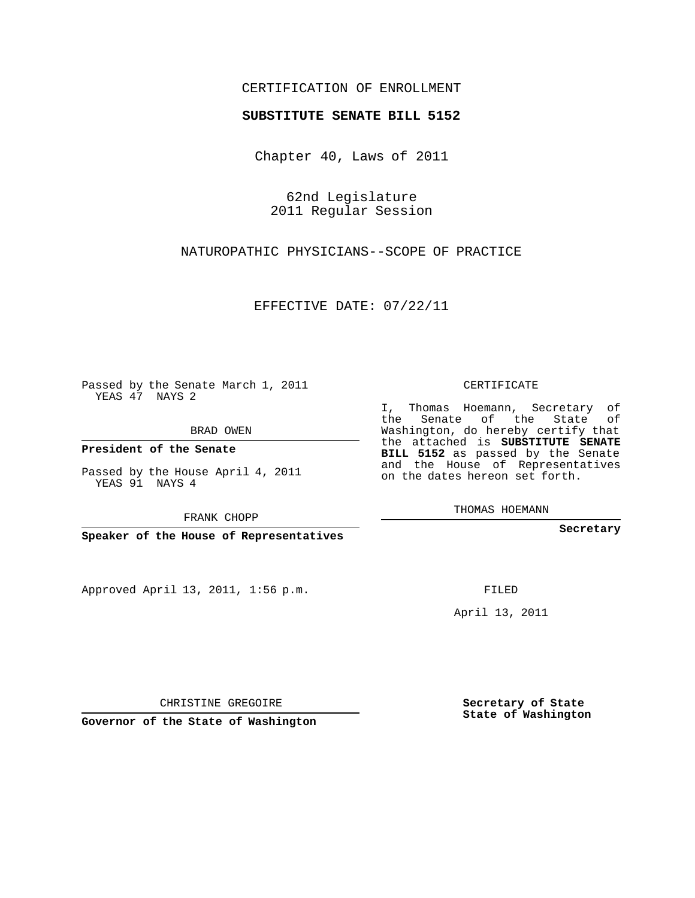## CERTIFICATION OF ENROLLMENT

## **SUBSTITUTE SENATE BILL 5152**

Chapter 40, Laws of 2011

62nd Legislature 2011 Regular Session

NATUROPATHIC PHYSICIANS--SCOPE OF PRACTICE

EFFECTIVE DATE: 07/22/11

Passed by the Senate March 1, 2011 YEAS 47 NAYS 2

BRAD OWEN

**President of the Senate**

Passed by the House April 4, 2011 YEAS 91 NAYS 4

FRANK CHOPP

**Speaker of the House of Representatives**

Approved April 13, 2011, 1:56 p.m.

CERTIFICATE

I, Thomas Hoemann, Secretary of the Senate of the State of Washington, do hereby certify that the attached is **SUBSTITUTE SENATE BILL 5152** as passed by the Senate and the House of Representatives on the dates hereon set forth.

THOMAS HOEMANN

**Secretary**

FILED

April 13, 2011

CHRISTINE GREGOIRE

**Governor of the State of Washington**

**Secretary of State State of Washington**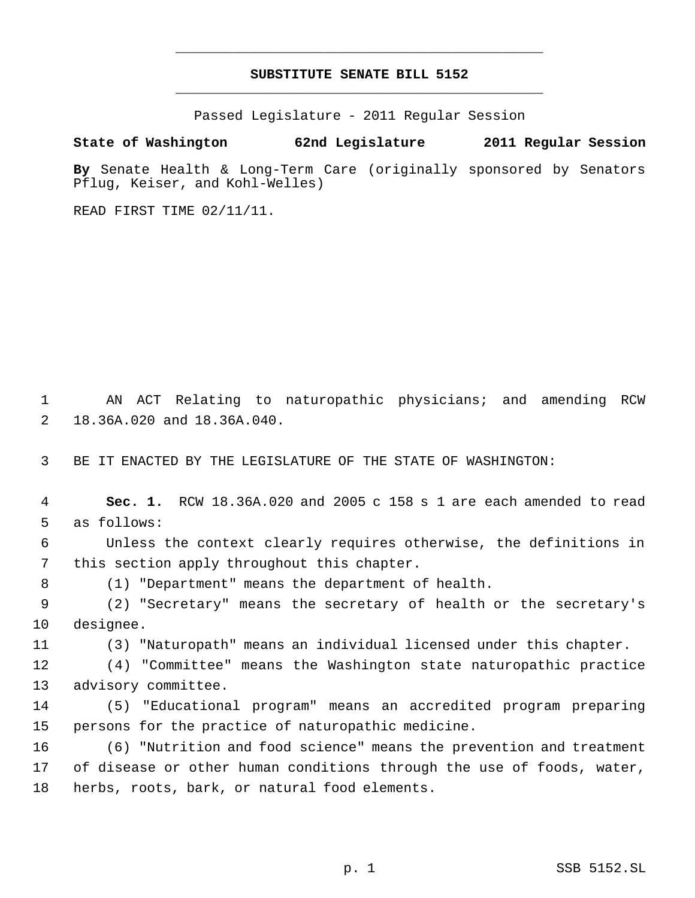## **SUBSTITUTE SENATE BILL 5152** \_\_\_\_\_\_\_\_\_\_\_\_\_\_\_\_\_\_\_\_\_\_\_\_\_\_\_\_\_\_\_\_\_\_\_\_\_\_\_\_\_\_\_\_\_

\_\_\_\_\_\_\_\_\_\_\_\_\_\_\_\_\_\_\_\_\_\_\_\_\_\_\_\_\_\_\_\_\_\_\_\_\_\_\_\_\_\_\_\_\_

Passed Legislature - 2011 Regular Session

## **State of Washington 62nd Legislature 2011 Regular Session**

**By** Senate Health & Long-Term Care (originally sponsored by Senators Pflug, Keiser, and Kohl-Welles)

READ FIRST TIME 02/11/11.

 AN ACT Relating to naturopathic physicians; and amending RCW 18.36A.020 and 18.36A.040.

BE IT ENACTED BY THE LEGISLATURE OF THE STATE OF WASHINGTON:

 **Sec. 1.** RCW 18.36A.020 and 2005 c 158 s 1 are each amended to read as follows: Unless the context clearly requires otherwise, the definitions in this section apply throughout this chapter.

(1) "Department" means the department of health.

 (2) "Secretary" means the secretary of health or the secretary's designee.

(3) "Naturopath" means an individual licensed under this chapter.

 (4) "Committee" means the Washington state naturopathic practice advisory committee.

 (5) "Educational program" means an accredited program preparing persons for the practice of naturopathic medicine.

 (6) "Nutrition and food science" means the prevention and treatment of disease or other human conditions through the use of foods, water, herbs, roots, bark, or natural food elements.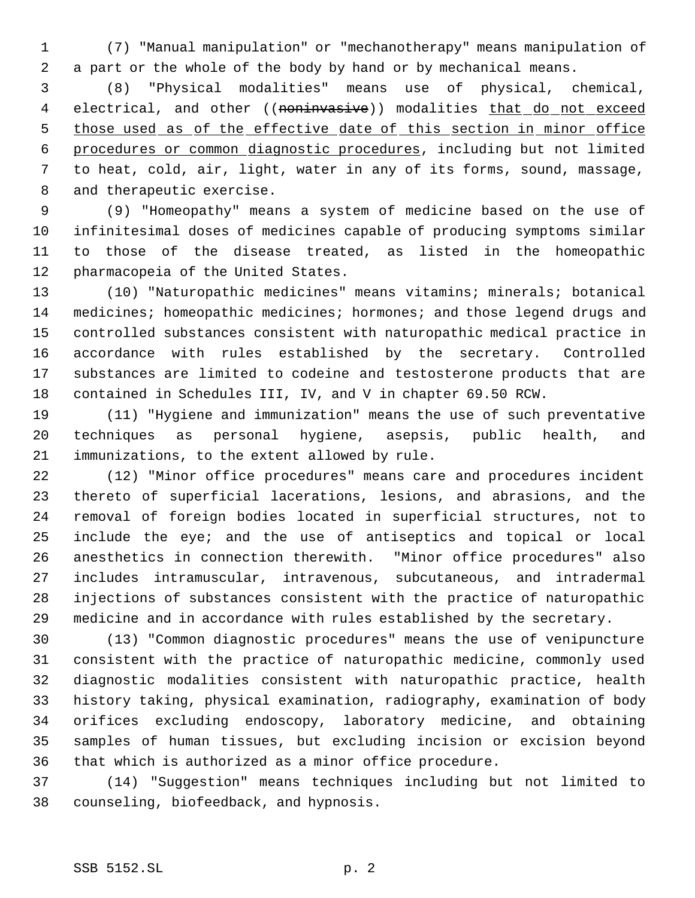(7) "Manual manipulation" or "mechanotherapy" means manipulation of a part or the whole of the body by hand or by mechanical means.

 (8) "Physical modalities" means use of physical, chemical, 4 electrical, and other ((noninvasive)) modalities that do not exceed 5 those used as of the effective date of this section in minor office procedures or common diagnostic procedures, including but not limited to heat, cold, air, light, water in any of its forms, sound, massage, and therapeutic exercise.

 (9) "Homeopathy" means a system of medicine based on the use of infinitesimal doses of medicines capable of producing symptoms similar to those of the disease treated, as listed in the homeopathic pharmacopeia of the United States.

 (10) "Naturopathic medicines" means vitamins; minerals; botanical 14 medicines; homeopathic medicines; hormones; and those legend drugs and controlled substances consistent with naturopathic medical practice in accordance with rules established by the secretary. Controlled substances are limited to codeine and testosterone products that are contained in Schedules III, IV, and V in chapter 69.50 RCW.

 (11) "Hygiene and immunization" means the use of such preventative techniques as personal hygiene, asepsis, public health, and immunizations, to the extent allowed by rule.

 (12) "Minor office procedures" means care and procedures incident thereto of superficial lacerations, lesions, and abrasions, and the removal of foreign bodies located in superficial structures, not to include the eye; and the use of antiseptics and topical or local anesthetics in connection therewith. "Minor office procedures" also includes intramuscular, intravenous, subcutaneous, and intradermal injections of substances consistent with the practice of naturopathic medicine and in accordance with rules established by the secretary.

 (13) "Common diagnostic procedures" means the use of venipuncture consistent with the practice of naturopathic medicine, commonly used diagnostic modalities consistent with naturopathic practice, health history taking, physical examination, radiography, examination of body orifices excluding endoscopy, laboratory medicine, and obtaining samples of human tissues, but excluding incision or excision beyond that which is authorized as a minor office procedure.

 (14) "Suggestion" means techniques including but not limited to counseling, biofeedback, and hypnosis.